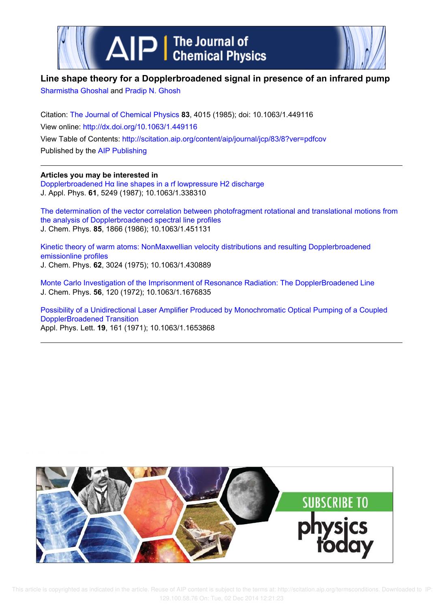



# **Line shape theory for a Dopplerbroadened signal in presence of an infrared pump**

Sharmistha Ghoshal and Pradip N. Ghosh

Citation: The Journal of Chemical Physics **83**, 4015 (1985); doi: 10.1063/1.449116 View online: http://dx.doi.org/10.1063/1.449116 View Table of Contents: http://scitation.aip.org/content/aip/journal/jcp/83/8?ver=pdfcov Published by the AIP Publishing

# **Articles you may be interested in**

Dopplerbroadened Hα line shapes in a rf lowpressure H2 discharge J. Appl. Phys. **61**, 5249 (1987); 10.1063/1.338310

The determination of the vector correlation between photofragment rotational and translational motions from the analysis of Dopplerbroadened spectral line profiles J. Chem. Phys. **85**, 1866 (1986); 10.1063/1.451131

Kinetic theory of warm atoms: NonMaxwellian velocity distributions and resulting Dopplerbroadened emissionline profiles J. Chem. Phys. **62**, 3024 (1975); 10.1063/1.430889

Monte Carlo Investigation of the Imprisonment of Resonance Radiation: The DopplerBroadened Line J. Chem. Phys. **56**, 120 (1972); 10.1063/1.1676835

Possibility of a Unidirectional Laser Amplifier Produced by Monochromatic Optical Pumping of a Coupled DopplerBroadened Transition Appl. Phys. Lett. **19**, 161 (1971); 10.1063/1.1653868

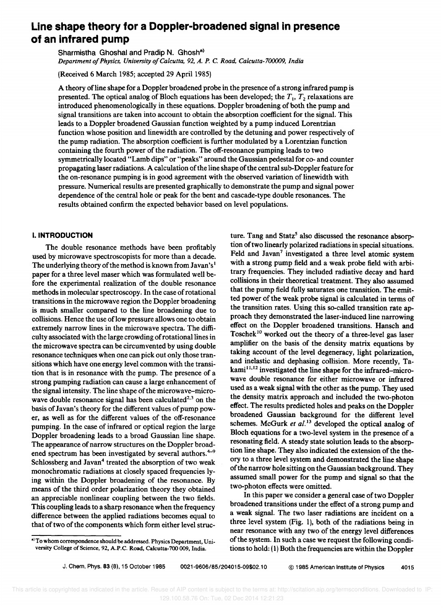# **Line shape theory for a Doppler-broadened signal in presence of an infrared pump**

Sharmistha Ghoshal and Pradip N. Ghosh<sup>a)</sup> *Department of Physics, University of Calcutta,* 92, *A. P.* C. *Road, Calcutta-700009, India* 

(Received 6 March 1985; accepted 29 April 1985)

A theory ofline shape for a Doppler broadened probe in the presence of a strong infrared pump is presented. The optical analog of Bloch equations has been developed; the  $T_1$ ,  $T_2$  relaxations are introduced phenomenologically in these equations. Doppler broadening of both the pump and signal transitions are taken into account to obtain the absorption coefficient for the signal. This leads to a Doppler broadened Gaussian function weighted by a pump induced Lorentzian function whose position and linewidth are controlled by the detuning and power respectively of the pump radiation. The absorption coefficient is further modulated by a Lorentzian function containing the fourth power of the radiation. The off-resonance pumping leads to two symmetrically located "Lamb dips" or "peaks" around the Gaussian pedestal for co- and counter propagating laser radiations. A calculation of the line shape of the central sub-Doppler feature for the on-resonance pumping is in good agreement with the observed variation of linewidth with pressure. Numerical results are presented graphically to demonstrate the pump and signal power dependence of the central hole or peak for the bent and cascade-type double resonances. The results obtained confirm the expected behavior based on level populations.

# I. **INTRODUCTION**

The double resonance methods have been profitably used by microwave spectroscopists for more than a decade. The underlying theory of the method is known from Javan's  $l$ paper for a three level maser which was formulated well before the experimental realization of the double resonance methods in molecular spectroscopy. In the case of rotational transitions in the microwave region the Doppler broadening is much smaller compared to the line broadening due to collisions. Hence the use of low pressure allows one to obtain extremely narrow lines in the microwave spectra. The difficulty associated with the large crowding of rotational lines in the microwave spectra can be circumvented by using double resonance techniques when one can pick out only those transitions which have one energy level common with the transition that is in resonance with the pump. The presence of a strong pumping radiation can cause a large enhancement of the signal intensity. The line shape of the microwave-microwave double resonance signal has been calculated<sup>2,3</sup> on the basis ofJavan's theory for the different values of pump power, as well as for the different values of the off-resonance pumping. In the case of infrared or optical region the large Doppler broadening leads to a broad Gaussian line shape. The appearance of narrow structures on the Doppler broadened spectrum has been investigated by several authors. $4-9$ Schlossberg and Javan<sup>4</sup> treated the absorption of two weak monochromatic radiations at closely spaced frequencies lying within the Doppler broadening of the resonance. By means of the third order polarization theory they obtained an appreciable nonlinear coupling between the two fields. This coupling leads to a sharp resonance when the frequency difference between the applied radiations becomes equal to that of two of the components which form either level struc-

In this paper we consider a general case of two Doppler broadened transitions under the effect of a strong pump and a weak signal. The two laser radiations are incident on a three level system (Fig. 1), both of the radiations being in near resonance with any two of the energy level differences of the system. In such a case we request the following conditions to hold: (1) Both the frequencies are within the Doppler

ture. Tang and Statz<sup>5</sup> also discussed the resonance absorption of two linearly polarized radiations in special situations. Feld and Javan<sup>7</sup> investigated a three level atomic system with a strong pump field and a weak probe field with arbitrary frequencies. They included radiative decay and hard collisions in their theoretical treatment. They also assumed that the pump field fully saturates one transition. The emitted power of the weak probe signal is calculated in terms of the transition rates. Using this so-called transition rate approach they demonstrated the laser-induced line narrowing effect on the Doppler broadened transitions. Hansch and Toschek<sup>10</sup> worked out the theory of a three-level gas laser amplifier on the basis of the density matrix equations by taking account of the level degeneracy, light polarization, and inelastic and dephasing collision. More recently, Takami<sup>11,12</sup> investigated the line shape for the infrared-microwave double resonance for either microwave or infrared used as a weak signal with the other as the pump. They used the density matrix approach and included the two-photon effect. The results predicted holes and peaks on the Doppler broadened Gaussian background for the different level schemes. McGurk *et al.*<sup>13</sup> developed the optical analog of Bloch equations for a two-level system in the presence of a resonating field. A steady state solution leads to the absorption line shape. They also indicated the extension of the theory to a three level system and demonstrated the line shape of the narrow hole sitting on the Gaussian background. They assumed small power for the pump and signal so that the two-photon effects were omitted.

a) To whom correspondence should be addressed. Physics Department, University College of Science, 92, A.P.C. Road, Calcutta-700 009, India.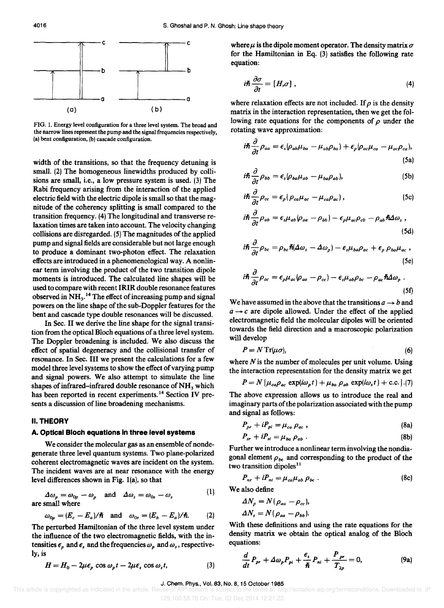

FIG. 1. Energy level configuration for a three level system. The broad and the narrow lines represent the pump and the signal frequencies respectively, (a) bent configuration, (b) cascade configuration.

width of the transitions, so that the frequency detuning is small. (2) The homogeneous linewidths produced by collisions are small, i.e., a low pressure system is used. (3) The Rabi frequency arising from the interaction of the applied electric field with the electric dipole is small so that the magnitude of the coherency splitting is small compared to the transition frequency. (4) The longitudinal and transverse relaxation times are taken into account. The velocity changing collisions are disregarded. (5) The magnitudes of the applied pump and signal fields are considerable but not large enough to produce a dominant two-photon effect. The relaxation effects are introduced in a phenomenological way. A nonlinear term involving the product of the two transition dipole moments is introduced. The calculated line shapes will be used to compare with recent IRIR double resonance features observed in  $NH<sub>3</sub>$ .<sup>14</sup> The effect of increasing pump and signal powers on the line shape of the sub-Doppler features for the bent and cascade type double resonances will be discussed.

In Sec. II we derive the line shape for the signal transition from the optical Bloch equations of a three level system. The Doppler broadening is included. We also discuss the effect of spatial degeneracy and the collisional transfer of resonance. In Sec. III we present the calculations for a few model three level systems to show the effect of varying pump and signal powers. We also attempt to simulate the line shapes of infrared-infrared double resonance of  $NH<sub>3</sub>$  which has been reported in recent experiments.<sup>14</sup> Section IV presents a discussion of line broadening mechanisms.

## II. THEORY

#### A. Optical Bloch equations In three level systems

We consider the molecular gas as an ensemble of nondegenerate three level quantum systems. Two plane-polarized coherent electromagnetic waves are incident on the system. The incident waves are at near resonance with the energy level differences shown in Fig. l(a), so that

$$
\Delta \omega_p = \omega_{0p} - \omega_p \quad \text{and} \quad \Delta \omega_s = \omega_{0s} - \omega_s \tag{1}
$$
  
are small where

$$
\omega_{0p} = (E_c - E_a)/\hbar \quad \text{and} \quad \omega_{0s} = (E_b - E_a)/\hbar. \tag{2}
$$

The perturbed Hamiltonian of the three level system under the influence of the two electromagnetic fields, with the intensities  $\epsilon_p$  and  $\epsilon_s$  and the frequencies  $\omega_p$  and  $\omega_s$ , respectively, is

$$
H = H_0 - 2\mu\epsilon_p \cos\omega_p t - 2\mu\epsilon_s \cos\omega_s t, \tag{3}
$$

where  $\mu$  is the dipole moment operator. The density matrix  $\sigma$ for the Hamiltonian in Eq. (3) satisfies the following rate equation:

$$
i\hbar \frac{\partial \sigma}{\partial t} = [H,\sigma] \;, \tag{4}
$$

where relaxation effects are not included. If  $\rho$  is the density matrix in the interaction representation, then we get the following rate equations for the components of  $\rho$  under the rotating wave approximation:

$$
i\hbar \frac{\partial}{\partial t}\rho_{aa} = \epsilon_s \rho_{ab}\mu_{ba} - \mu_{ab}\rho_{ba}) + \epsilon_p \rho_{ac}\mu_{ca} - \mu_{ac}\rho_{ca}),
$$
\n(5a)

$$
i\hbar \frac{\partial}{\partial t} \rho_{bb} = \epsilon_s \rho_{ba} \mu_{ab} - \mu_{ba} \rho_{ab}), \tag{5b}
$$

$$
i\hbar \frac{\partial}{\partial t} \rho_{cc} = \epsilon_p (\rho_{ca} \mu_{ac} - \mu_{ca} \rho_{ac}), \qquad (5c)
$$

$$
i\hbar \frac{\partial}{\partial t} \rho_{ab} = \epsilon_s \mu_{ab} (\rho_{aa} - \rho_{bb}) - \epsilon_p \mu_{ac} \rho_{cb} - \rho_{ab} \hbar \Delta \omega_s ,
$$
\n(5d)

$$
i\hslash \frac{\partial}{\partial t}\rho_{bc} = \rho_{bc}\hslash (\Delta\omega_s - \Delta\omega_p) - \epsilon_s\mu_{ba}\rho_{ac} + \epsilon_p \rho_{ba}\mu_{ac} ,
$$
\n(5e)

$$
i\hbar \frac{\partial}{\partial t} \rho_{ac} = \epsilon_p \mu_{ac} (\rho_{aa} - \rho_{cc}) - \epsilon_s \mu_{ab} \rho_{bc} - \rho_{ac} \hbar \Delta \omega_p \; . \tag{5f}
$$

We have assumed in the above that the transitions  $a \rightarrow b$  and  $a \rightarrow c$  are dipole allowed. Under the effect of the applied electromagnetic field the molecular dipoles will be oriented towards the field direction and a macroscopic polarization will develop

$$
P = N \operatorname{Tr}(\mu \sigma),\tag{6}
$$

where  $N$  is the number of molecules per unit volume. Using the interaction representation for the density matrix we get

$$
P = N \left\{ \mu_{ca} \rho_{ac} \exp(i\omega_p t) + \mu_{ba} \rho_{ab} \exp(i\omega_s t) + \text{c.c.} \right\}
$$
 (7)

The above expression allows us to introduce the real and imaginary parts of the polarization associated with the pump and signal as follows:

$$
P_{pr} + iP_{pi} = \mu_{ca} \rho_{ac} , \qquad (8a)
$$

$$
P_{sr} + iP_{si} = \mu_{ba} \rho_{ab} \ . \tag{8b}
$$

Further we introduce a nonlinear term involving the nondiagonal element  $\rho_{bc}$  and corresponding to the product of the two transition dipoles<sup>11</sup>

$$
P_{nr} + iP_{ni} = \mu_{ca} \mu_{ab} \rho_{bc} \tag{8c}
$$

We also define

$$
\Delta N_{p} = N(\rho_{aa} - \rho_{cc}),
$$
  

$$
\Delta N_{s} = N(\rho_{aa} - \rho_{bb}).
$$

With these definitions and using the rate equations for the density matrix we obtain the optical analog of the Bloch equations:

$$
\frac{d}{dt}P_{pr} + \Delta\omega_p P_{pi} + \frac{\epsilon_s}{\hbar}P_{ni} + \frac{P_{pr}}{T_{2p}} = 0,
$$
\n(9a)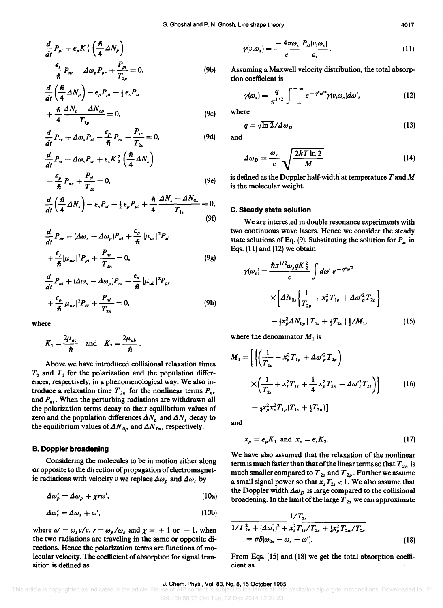$$
\frac{d}{dt}P_{pi} + \epsilon_p K_1^2 \left(\frac{\hbar}{4}\Delta N_p\right) \n- \frac{\epsilon_s}{\hbar}P_{nr} - \Delta \omega_p P_{pr} + \frac{P_{pi}}{T_{2p}} = 0,
$$
\n(9b)

$$
\frac{d}{dt}\left(\frac{\hbar}{4}\Delta N_{p}\right)-\epsilon_{p}P_{pi}-\frac{1}{2}\epsilon_{s}P_{st}
$$
\n
$$
+\frac{\hbar}{4}\frac{\Delta N_{p}-\Delta N_{op}}{T_{1n}}=0,
$$
\n(9c)

$$
\frac{d}{dt}P_{sr} + \Delta\omega_s P_{si} - \frac{\epsilon_p}{\hbar}P_{ni} + \frac{P_{sr}}{T_{2s}} = 0,
$$
\n(9d)

$$
\frac{d}{dt} P_{si} - \Delta \omega_s P_{sr} + \epsilon_s K_2^2 \left(\frac{\hbar}{4} \Delta N_s\right) \n- \frac{\epsilon_p}{\hbar} P_{nr} + \frac{P_{si}}{T_{2s}} = 0,
$$
\n(9e)

$$
\frac{d}{dt}\left(\frac{\hbar}{4}\,\Delta N_{s}\right)-\epsilon_{s}P_{si}-\tfrac{1}{2}\,\epsilon_{p}P_{pi}+\frac{\hbar}{4}\,\frac{\Delta N_{s}-\Delta N_{0s}}{T_{1s}}=0,\tag{9f}
$$

$$
\frac{d}{dt}P_{nr} - (\Delta\omega_s - \Delta\omega_p)P_{ni} + \frac{\epsilon_p}{\hbar} |\mu_{ac}|^2 P_{si}
$$
  
+ 
$$
\frac{\epsilon_s}{\hbar} |\mu_{ab}|^2 P_{pi} + \frac{P_{nr}}{T_{2n}} = 0,
$$
 (9g)

$$
\frac{d}{dt}P_{ni} + (\Delta\omega_s - \Delta\omega_p)P_{ni} - \frac{\epsilon_s}{\hbar} |\mu_{ab}|^2 P_{pr} \n+ \frac{\epsilon_p}{\hbar} |\mu_{ac}|^2 P_{sr} + \frac{P_{ni}}{T_{2n}} = 0,
$$
\n(9h)

where

$$
K_1 = \frac{2\mu_{ac}}{\hbar} \quad \text{and} \quad K_2 = \frac{2\mu_{ab}}{\hbar}.
$$

Above we have introduced collisional relaxation times  $T_2$  and  $T_1$  for the polarization and the population differences, respectively, in a phenomenological way. We also introduce a relaxation time  $T_{2n}$  for the nonlinear terms  $P_{nr}$ and  $P_{ni}$ . When the perturbing radiations are withdrawn all the polarization terms decay to their equilibrium values of zero and the population differences  $\Delta N_p$  and  $\Delta N_s$  decay to the equilibrium values of  $\Delta N_{0p}$  and  $\Delta N_{0s}$ , respectively.

#### B. Doppler broadening

Considering the molecules to be in motion either along or opposite to the direction of propagation of electromagnetic radiations with velocity v we replace  $\Delta\omega_p$  and  $\Delta\omega_s$  by

$$
\Delta \omega'_{p} = \Delta \omega_{p} + \chi r \omega', \qquad (10a)
$$

$$
\Delta \omega_s' = \Delta \omega_s + \omega',\tag{10b}
$$

where  $\omega' = \omega_s v/c$ ,  $r = \omega_p/\omega_s$  and  $\chi = +1$  or  $-1$ , when the two radiations are traveling in the same or opposite directions. Hence the polarization terms are functions of molecular velocity. The coefficient of absorption for signal transition is defined as

$$
\gamma(v,\omega_s) = \frac{-4\pi\omega_s}{c} \frac{P_{si}(v,\omega_s)}{\epsilon_s} \,. \tag{11}
$$

Assuming a Maxwell velocity distribution, the total absorption coefficient is

$$
\gamma(\omega_s) = \frac{q}{\pi^{1/2}} \int_{-\infty}^{+\infty} e^{-q^2 \omega^{12}} \gamma(v, \omega_s) d\omega', \qquad (12)
$$

where

$$
q = \sqrt{\ln 2} / \Delta \omega_D \tag{13}
$$

and

$$
\Delta \omega_D = \frac{\omega_s}{c} \sqrt{\frac{2kT \ln 2}{M}} \tag{14}
$$

is defined as the Doppler half-width at temperature  $T$  and  $M$ is the molecular weight.

#### c. Steady state solution

Weare interested in double resonance experiments with two continuous wave lasers. Hence we consider the steady state solutions of Eq. (9). Substituting the solution for  $P_{si}$  in Eqs. (11) and (12) we obtain

$$
\gamma(\omega_s) = \frac{\hbar \pi^{1/2} \omega_s q K_{2}^2}{c} \int d\omega' e^{-q^2 \omega^2}
$$

$$
\times \left[ \Delta N_{0s} \left\{ \frac{1}{T_{2p}} + x_p^2 T_{1p} + \Delta \omega_{p}^2 T_{2p} \right\} - \frac{1}{2} x_p^2 \Delta N_{0p} \left\{ T_{1s} + \frac{1}{2} T_{2n} \right\} \right] / M_1, \qquad (15)
$$

where the denominator  $M_1$  is

$$
M_{1} = \left[ \left\{ \left( \frac{1}{T_{2p}} + x_{p}^{2} T_{1p} + \Delta \omega_{p}^{2} T_{2p} \right) \times \left( \frac{1}{T_{2s}} + x_{s}^{2} T_{1s} + \frac{1}{4} x_{p}^{2} T_{2n} + \Delta \omega_{s}^{2} T_{2s} \right) \right\} - \frac{1}{4} x_{p}^{2} x_{s}^{2} T_{1p} (T_{1s} + \frac{1}{2} T_{2n}) \right]
$$
(16)

and

$$
x_p = \epsilon_p K_1 \text{ and } x_s = \epsilon_s K_2. \tag{17}
$$

We have also assumed that the relaxation of the nonlinear term is much faster than that of the linear terms so that  $T_{2n}$  is much smaller compared to  $T_{2s}$  and  $T_{2p}$ . Further we assume a small signal power so that  $x_s T_{2s} < 1$ . We also assume that the Doppler width  $\Delta \omega_D$  is large compared to the collisional broadening. In the limit of the large T *ls* we can approximate

$$
\frac{1/T_{2s}}{1/T_{2s}^2 + (\Delta\omega_s)^2 + x_s^2 T_{1s}/T_{2s} + \frac{1}{4}x_p^2 T_{2n}/T_{2s}} = \pi\delta(\omega_{0s} - \omega_s + \omega').
$$
\n(18)

From Eqs. (15) and (18) we get the total absorption coefficient as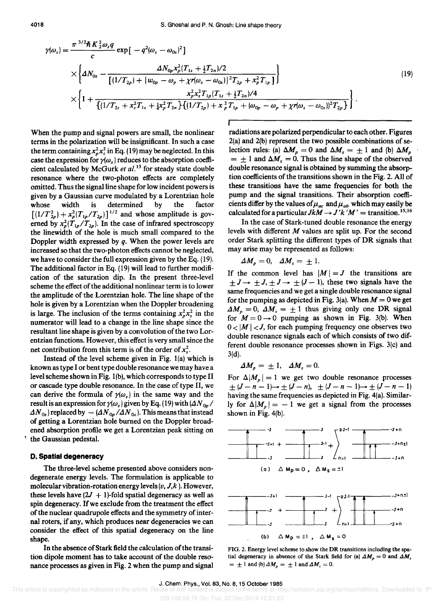$$
\gamma(\omega_{s}) = \frac{\pi^{3/2} \hbar K_{2}^{2} \omega_{s} q}{c} \exp\left[-q^{2} (\omega_{s} - \omega_{0s})^{2}\right]
$$
\n
$$
\times \left\{ \Delta N_{0s} - \frac{\Delta N_{0p} x_{p}^{2} (T_{1s} + \frac{1}{2} T_{2n}) / 2}{\left[(1/T_{2p}) + \{w_{0p} - \omega_{p} + \chi r(\omega_{s} - \omega_{0s})\}^{2} T_{2p} + x_{p}^{2} T_{1p}\right]}\right\}
$$
\n
$$
\times \left\{ 1 + \frac{x_{p}^{2} x_{s}^{2} T_{1p} (T_{1s} + \frac{1}{2} T_{2n}) / 4}{\left[(1/T_{2s} + x_{s}^{2} T_{1s} + \frac{1}{4} x_{p}^{2} T_{2n}\right) \left[(1/T_{2p}) + x_{p}^{2} T_{1p} + (\omega_{0p} - \omega_{p} + \chi r(\omega_{s} - \omega_{0s}))^{2} T_{2p}\right]}\right\}.
$$
\n(19)

When the pump and signal powers are small, the nonlinear terms in the polarization will be insignificant. In such a case the term containing  $x<sub>n</sub><sup>2</sup> x<sub>s</sub><sup>2</sup>$  in Eq. (19) may be neglected. In this case the expression for  $\gamma(\omega_s)$  reduces to the absorption coefficient calculated by McGurk *et al.13* for steady state double resonance where the two-photon effects are completely omitted. Thus the signal line shape for low incident powers is given by a Gaussian curve modulated by a Lorentzian hole whose width is determined by the factor  $[(1/T_{2p}^2) + x_p^2 (T_{1p}/T_{2p})]^{1/2}$  and whose amplitude is governed by  $x_p^2(T_{1p}/T_{2p})$ . In the case of infrared spectroscopy the linewidth of the hole is much small compared to the Doppler width expressed by *q.* When the power levels are increased so that the two-photon effects cannot be neglected, we have to consider the full expression given by the Eq. (19). The additional factor in Eq. (19) will lead to further modification of the saturation dip. In the present three-level scheme the effect of the additional nonlinear term is to lower the amplitude of the Lorentzian hole. The line shape of the hole is given by a Lorentzian when the Doppler broadening is large. The inclusion of the terms containing  $x_n^2 x_s^2$  in the numerator will lead to a change in the line shape since the resultant line shape is given by a convolution of the two Lorentzian functions. However, this effect is very small since the net contribution from this term is of the order of  $x<sub>s</sub><sup>2</sup>$ .

Instead of the level scheme given in Fig. I(a) which is known as type I or bent type double resonance we may have a level scheme shown in Fig. I(b), which corresponds to type II or cascade type double resonance. In the case of type II, we can derive the formula of  $\gamma(\omega_s)$  in the same way and the result is an expression for  $\gamma(\omega_s)$  given by Eq. (19) with  $(\Delta N_{0p}$ /  $\Delta N_{0s}$ ) replaced by  $-(\Delta N_{0s}/\Delta N_{0s})$ . This means that instead of getting a Lorentzian hole burned on the Doppler broadened absorption profile we get a Lorentzian peak sitting on the Gaussian pedestal.

### **D. Spatial degeneracy**

The three-level scheme presented above considers nondegenerate energy levels. The formulation is applicable to molecular vibration-rotation energy levels  $(v, J, k)$ . However, these levels have  $(2J + 1)$ -fold spatial degeneracy as well as spin degeneracy. If we exclude from the treatment the effect of the nuclear quadrupole effects and the symmetry of internal roters, if any, which produces near degeneracies we can consider the effect of this spatial degeneracy on the line shape.

In the absence of Stark field the calculation of the transition dipole moment has to take account of the double resonance processes as given in Fig. 2 when the pump and signal radiations are polarized perpendicular to each other. Figures 2(a) and 2(b) represent the two possible combinations of selection rules: (a)  $\Delta M_p = 0$  and  $\Delta M_s = \pm 1$  and (b)  $\Delta M_p$  $= \pm 1$  and  $\Delta M_s = 0$ . Thus the line shape of the observed double resonance signal is obtained by summing the absorption coefficients of the transitions shown in the Fig. 2. All of these transitions have the same frequencies for both the pump and the signal transitions. Their absorption coefficients differ by the values of  $\mu_{ac}$  and  $\mu_{ab}$  which may easily be calculated for a particular  $JkM \rightarrow J'k'M'$  = transition.<sup>15,16</sup>

In the case of Stark-tuned double resonance the energy levels with different M values are split up. For the second order Stark splitting the different types of DR signals that may arise may be represented as follows:

$$
\Delta M_p = 0, \quad \Delta M_s = \pm 1.
$$

If the common level has  $|M| = J$  the transitions are  $\pm J \rightarrow \pm J, \pm J \rightarrow \pm (J - 1)$ , these two signals have the same frequencies and we get a single double resonance signal for the pumping as depicted in Fig. 3(a). When  $M = 0$  we get  $\Delta M_p = 0$ ,  $\Delta M_s = \pm 1$  thus giving only one DR signal for  $M = 0 \rightarrow 0$  pumping as shown in Fig. 3(b). When  $0<|M|< J$ , for each pumping frequency one observes two double resonance signals each of which consists of two different double resonance processes shown in Figs. 3(c) and 3(d).

 $\Delta M_p = \pm 1$ ,  $\Delta M_s = 0$ .

For  $\Delta|M_p| = 1$  we get two double resonance processes  $\pm (J-n-1) \rightarrow \pm (J-n), \pm (J-n-1) \rightarrow \pm (J-n-1)$ having the same frequencies as depicted in Fig. 4(a). Similarly for  $\Delta |M_p| = -1$  we get a signal from the processes shown in Fig. 4(b).



FIG. 2. Energy level scheme to show the DR transitions including the spatial degeneracy in absence of the Stark field for (a)  $\Delta M_p = 0$  and  $\Delta M_s$  $= \pm 1$  and (b)  $\Delta M_p = \pm 1$  and  $\Delta M_s = 0$ .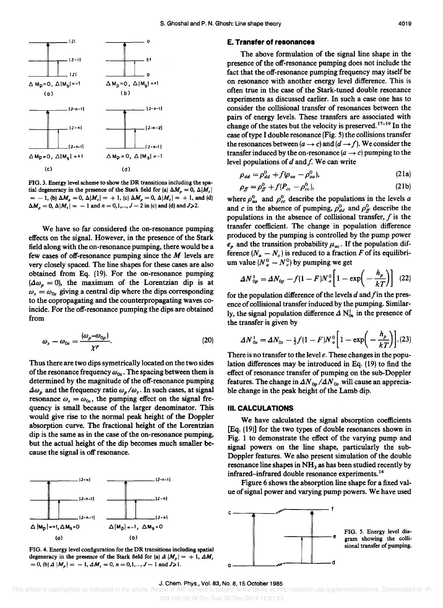

FIG. 3. Energy level scheme to show the DR transitions including the spatial degeneracy in the presence of the Stark field for (a)  $\Delta M_p = 0$ ,  $\Delta |M_s|$  $= -1$ , (b)  $\Delta M_p = 0$ ,  $\Delta |M_s| = +1$ , (c)  $\Delta M_p = 0$ ,  $\Delta |M_s| = +1$ , and (d)  $\Delta M_p = 0$ ,  $\Delta |M_s| = -1$  and  $n = 0, 1, ..., J - 2$  in (c) and (d) and  $J > 2$ .

We have so far considered the on-resonance pumping effects on the signal. However, in the presence of the Stark field along with the on-resonance pumping, there would be a few cases of off-resonance pumping since the  $M$  levels are very closely spaced. The line shapes for these cases are also obtained from Eq. (19). For the on-resonance pumping  $(\Delta\omega_p = 0)$ , the maximum of the Lorentzian dip is at  $\omega_s = \omega_{0s}$  giving a central dip where the dips corresponding to the copropagating and the counterpropagating waves coincide. For the off-resonance pumping the dips are obtained from

$$
\omega_s - \omega_{0s} = \frac{(\omega_p - \omega_{0p})}{\chi r}.
$$
\n(20)

Thus there are two dips symetrically located on the two sides of the resonance frequency  $\omega_{0s}$ . The spacing between them is determined by the magnitude of the off-resonance pumping  $\Delta\omega_p$  and the frequency ratio  $\omega_p/\omega_s$ . In such cases, at signal resonance  $\omega_s = \omega_{0s}$ , the pumping effect on the signal frequency is small because of the larger denominator. This would give rise to the normal peak height of the Doppler absorption curve. The fractional height of the Lorentzian dip is the same as in the case of the on-resonance pumping, but the actual height of the dip becomes much smaller because the signal is off resonance.



FIG. 4. Energy level configuration for the DR transitions including spatial degeneracy in the presence of the Stark field for (a)  $\Delta |M_p| = +1$ ,  $\Delta M_s$  $=0$ , (b)  $\Delta |M_p| = -1$ ,  $\Delta M_s = 0$ ,  $n = 0,1,..., J-1$  and  $J>1$ .

#### **E. Transfer of resonances**

The above formulation of the signal line shape in the presence of the off-resonance pumping does not include the fact that the off-resonance pumping frequency may itself be on resonance with another energy level difference. This is often true in the case of the Stark-tuned double resonance experiments as discussed earlier. In such a case one has to consider the collisional transfer of resonances between the pairs of energy levels. These transfers are associated with change of the states but the velocity is preserved.  $17-19$  In the case of type I double resonance (Fig. 5) the collisions transfer the resonances between  $(a \rightarrow c)$  and  $(d \rightarrow f)$ . We consider the transfer induced by the on-resonance  $(a \rightarrow c)$  pumping to the level populations of  $d$  and  $f$ . We can write

$$
\rho_{dd} = \rho_{dd}^0 + f(\rho_{aa} - \rho_{aa}^0), \qquad (21a)
$$

$$
\rho_f = \rho_f^0 + f(P_{cc} - \rho_{cc}^0),\tag{21b}
$$

where  $\rho_{aa}^0$  and  $\rho_{cc}^0$  describe the populations in the levels *a* and c in the absence of pumping,  $\rho_{dd}^0$  and  $\rho_{ff}^0$  describe the populations in the absence of collisional transfer,  $f$  is the transfer coefficient. The change in population difference produced by the pumping is controlled by the pump power  $\epsilon_p$  and the transition probability  $\mu_{ac}$ . If the population difference  $(N_a - N_c)$  is reduced to a fraction *F* of its equilibrium value  $(N_a^0 - N_c^0)$  by pumping we get

$$
\Delta N_{op}^1 = \Delta N_{op} - f(1 - F)N_a^0 \left[1 - \exp\left(-\frac{h_p}{kT}\right)\right] \tag{22}
$$

for the population difference of the levels  $d$  and  $f$  in the presence of collisional transfer induced by the pumping. Similarly, the signal population difference  $\Delta N_{0s}^1$  in the presence of the transfer is given by

$$
\Delta N_{0s}^{1} = \Delta N_{0s} - \frac{1}{2} f (1 - F) N_a^{0} \left[ 1 - \exp \left( - \frac{h_p}{kT} \right) \right]. (23)
$$

There is no transfer to the level *e.* These changes in the population differences may be introduced in Eq. (19) to find the effect of resonance transfer of pumping on the sub-Doppler features. The change in  $\Delta N_{0p} / \Delta N_{0s}$  will cause an appreciable change in the peak height of the Lamb dip.

### **III. CALCULATIONS**

We have calculated the signal absorption coefficients [Eq. (19)] for the two types of double resonances shown in Fig. 1 to demonstrate the effect of the varying pump and signal powers on the line shape, particularly the sub-Doppler features. We also present simulation of the double resonance line shapes in  $NH<sub>3</sub>$  as has been studied recently by infrared-infrared double resonance experiments. <sup>14</sup>

Figure 6 shows the absorption line shape for a fixed value of signal power and varying pump powers. We have used

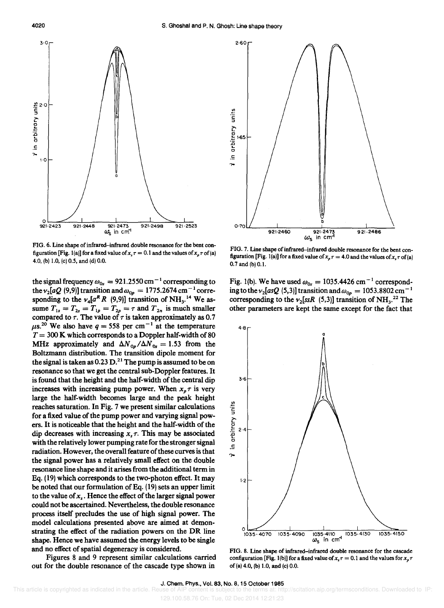

FIG. 6. Line shape of infrared-infrared double resonance for the bent configuration [Fig. 1(a)] for a fixed value of  $x, \tau = 0.1$  and the values of  $x, \tau$  of (a) 4.0, (b) 1.0, (c) 0.5, and (d) 0.0.

the signal frequency  $\omega_{0s} = 921.2550 \text{ cm}^{-1}$  corresponding to the  $v_2[aQ(9,9)]$  transition and  $\omega_{0p} = 1775.2674 \text{ cm}^{-1} \text{ corre-}$ sponding to the  $v_4[a^R R (9, 9)]$  transition of NH<sub>3</sub>.<sup>14</sup> We assume  $T_{1s} = T_{2s} = T_{1p} = T_{2p} = \tau$  and  $T_{2n}$  is much smaller compared to  $\tau$ . The value of  $\tau$  is taken approximately as 0.7  $\mu$ s.<sup>20</sup> We also have *q* = 558 per cm<sup>-1</sup> at the temperature  $T = 300$  K which corresponds to a Doppler half-width of 80 MHz approximately and  $\Delta N_{0p}/\Delta N_{0s} = 1.53$  from the Boltzmann distribution. The transition dipole moment for the signal is taken as  $0.23 \text{ D}$ .<sup>21</sup> The pump is assumed to be on resonance so that we get the central sub-Doppler features. It is found that the height and the half-width of the central dip increases with increasing pump power. When  $x_n \tau$  is very large the half-width becomes large and the peak height reaches saturation. In Fig. 7 we present similar calculations for a fixed value of the pump power and varying signal powers. It is noticeable that the height and the half-width of the dip decreases with increasing  $x, \tau$ . This may be associated with the relatively lower pumping rate for the stronger signal radiation. However, the overall feature of these curves is that the signal power has a relatively small effect on the double resonance line shape and it arises from the additional term in Eq. (19) which corresponds to the two-photon effect. It may be noted that our formulation of Eq. (19) sets an upper limit to the value of  $x<sub>s</sub>$ . Hence the effect of the larger signal power could not be ascertained. Nevertheless, the double resonance process itself precludes the use of high signal power. The model calculations presented above are aimed at demonstrating the effect of the radiation powers on the DR line shape. Hence we have assumed the energy levels to be single and no effect of spatial degeneracy is considered.

Figures 8 and 9 represent similar calculations carried out for the double resonance of the cascade type shown in



FIG. 7. Line shape of infrared-infrared double resonance for the bent configuration [Fig. 1(a)] for a fixed value of  $x_p \tau = 4.0$  and the values of  $x_q \tau$  of (a) 0.7 and (b) 0.1.

Fig. 1(b). We have used  $\omega_{0s} = 1035.4426 \text{ cm}^{-1}$  corresponding to the  $v_2[asQ (5,3)]$  transition and  $\omega_{0p} = 1053.8802$  cm<sup>-1</sup> corresponding to the  $v_2$ [ssR (5,3)] transition of NH<sub>3</sub>.<sup>22</sup> The other parameters are kept the same except for the fact that



FIG. 8. Line shape of infrared-infrared double resonance for the cascade configuration [Fig. 1(b)] for a fixed value of  $x<sub>s</sub> \tau = 0.1$  and the values for  $x<sub>p</sub> \tau$ of (a) 4.0, (b) 1.0, and (c) 0.0.

129.100.58.76 On: Tue, 02 Dec 2014 12:21:23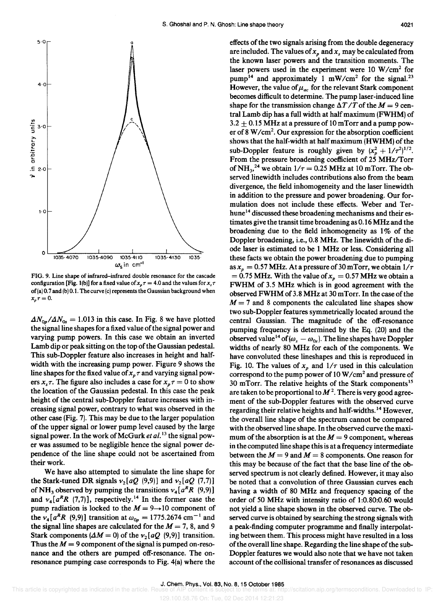

FIG. 9. Line shape of infrared-infrared double resonance for the cascade configuration [Fig. 1(b)] for a fixed value of  $x_p \tau = 4.0$  and the values for  $x_s \tau$ of (a) 0.7 and (b) 0.1. The curve (c) represents the Gaussian background when  $x_{p} \tau = 0.$ 

 $\Delta N_{0p}/\Delta N_{0s} = 1.013$  in this case. In Fig. 8 we have plotted the signal line shapes for a fixed value of the signal power and varying pump powers. In this case we obtain an inverted Lamb dip or peak sitting on the top of the Gaussian pedestal. This sub-Doppler feature also increases in height and halfwidth with the increasing pump power. Figure 9 shows the line shapes for the fixed value of  $x<sub>p</sub> \tau$  and varying signal powers  $x_s \tau$ . The figure also includes a case for  $x_p \tau = 0$  to show the location of the Gaussian pedestal. In this case the peak height of the central sub-Doppler feature increases with increasing signal power, contrary to what was observed in the other case (Fig. 7). This may be due to the larger population of the upper signal or lower pump level caused by the large signal power. In the work of McGurk *et al.* 13 the signal power was assumed to be negligible hence the signal power dependence of the line shape could not be ascertained from their work.

We have also attempted to simulate the line shape for the Stark-tuned DR signals  $v_2[aQ (9,9)]$  and  $v_2[aQ (7,7)]$ of NH<sub>3</sub> observed by pumping the transitions  $v_4[a^R R (9,9)]$ and  $v_4[a^R R (7,7)]$ , respectively.<sup>14</sup> In the former case the pump radiation is locked to the  $M = 9 \rightarrow 10$  component of the  $v_4[a^R R (9, 9)]$  transition at  $\omega_{0p} = 1775.2674$  cm<sup>-1</sup> and the signal line shapes are calculated for the  $M = 7$ , 8, and 9 Stark components  $(\Delta M = 0)$  of the  $\nu_2[aQ(9,9)]$  transition. Thus the  $M = 9$  component of the signal is pumped on-resonance and the others are pumped off-resonance. The onresonance pumping case corresponds to Fig. 4(a) where the

effects of the two signals arising from the double degeneracy are included. The values of  $x_p$  and  $x_s$  may be calculated from the known laser powers and the transition moments. The laser powers used in the experiment were 10 W/cm<sup>2</sup> for pump<sup>14</sup> and approximately 1 mW/cm<sup>2</sup> for the signal.<sup>23</sup> However, the value of  $\mu_{ac}$  for the relevant Stark component becomes difficult to determine. The pump laser-induced line shape for the transmission change  $\Delta T/T$  of the  $M = 9$  central Lamb dip has a full width at half maximum (FWHM) of  $3.2 \pm 0.15$  MHz at a pressure of 10 mTorr and a pump power of 8 W/cm<sup>2</sup>. Our expression for the absorption coefficient shows that the half-width at half maximum (HWHM) of the sub-Doppler feature is roughly given by  $(x_p^2 + 1/\tau^2)^{1/2}$ . From the pressure broadening coefficient of 25 MHz/Torr of NH<sub>3</sub>,<sup>24</sup> we obtain  $1/\tau = 0.25$  MHz at 10 mTorr. The observed linewidth includes contributions also from the beam divergence, the field inhomogeneity and the laser linewidth in addition to the pressure and power broadening. Our formulation does not include these effects. Weber and Terhune<sup>14</sup> discussed these broadening mechanisms and their estimates give the transit time broadening as 0.16 MHz and the broadening due to the field inhomogeneity as  $1\%$  of the Doppler broadening, i.e., 0.8 MHz. The linewidth of the diode laser is estimated to be 1 MHz or less. Considering all these facts we obtain the power broadening due to pumping as  $x_p = 0.57$  MHz. At a pressure of 30 mTorr, we obtain  $1/\tau$  $= 0.75$  MHz. With the value of  $x_p = 0.57$  MHz we obtain a FWHM of 3.5 MHz which is in good agreement with the observedFWHMof3.8 MHz at 30mTorr. In the case of the  $M = 7$  and 8 components the calculated line shapes show two sub-Doppler features symmetrically located around the central Gaussian. The magnitude of the off-resonance pumping frequency is determined by the Eq. (20) and the observed value<sup>14</sup> of ( $\omega_s - \omega_{0s}$ ). The line shapes have Doppler widths of nearly 80 MHz for each of the components. We have convoluted these lineshapes and this is reproduced in Fig. 10. The values of  $x_p$  and  $1/\tau$  used in this calculation correspond to the pump power of 10 W *Icm<sup>2</sup>*and pressure of 30 mTorr. The relative heights of the Stark components<sup>15</sup> are taken to be proportional to  $M<sup>2</sup>$ . There is very good agreement of the sub-Doppler features with the observed curve regarding their relative heights and half-widths. 14 However, the overall line shape of the spectrum cannot be compared with the observed line shape. In the observed curve the maximum of the absorption is at the  $M = 9$  component, whereas in the computed line shape this is at a frequency intermediate between the  $M = 9$  and  $M = 8$  components. One reason for this may be because of the fact that the base line of the observed spectrum is not clearly defined. However, it may also be noted that a convolution of three Gaussian curves each having a width of 80 MHz and frequency spacing of the order of 50 MHz with intensity ratio of 1 :0.80:0.60 would not yield a line shape shown in the observed curve. The observed curve is obtained by searching the strong signals with a peak-finding computer programme and finally interpolating between them. This process might have resulted in a loss of the overall line shape. Regarding the line shape of the sub-Doppler features we would also note that we have not taken account of the collisional transfer of resonances as discussed

129.100.58.76 On: Tue, 02 Dec 2014 12:21:23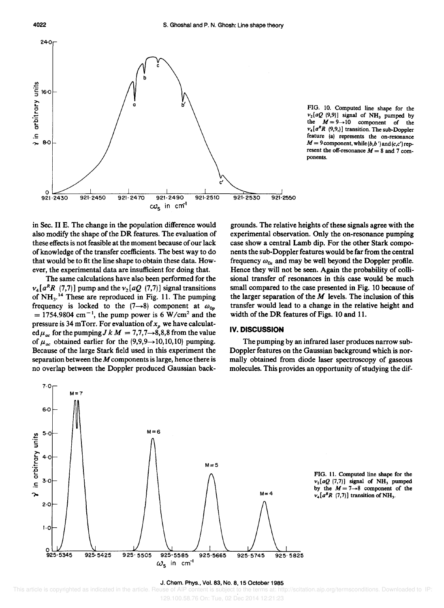

FIG. 10. Computed line shape for the  $v_2[aQ(9,9)]$  signal of NH<sub>3</sub> pumped by the  $M = 9 \rightarrow 10$  component of the  $v_4[a^R R (9,9)]$  transition. The sub-Doppler feature (a) represents the on-resonance  $M = 9$  component, while  $(b, b')$  and  $(c, c')$  represent the off-resonance  $M = 8$  and 7 components.

in Sec. II E. The change in the population difference would also modify the shape of the **DR** features. The evaluation of these effects is not feasible at the moment because of our lack of knowledge of the transfer coefficients. The best way to do that would be to fit the line shape to obtain these data. However, the experimental data are insufficient for doing that.

The same calculations have also been performed for the  $v_4[a^R R (7,7)]$  pump and the  $v_2[aQ (7,7)]$  signal transitions of  $NH<sub>3</sub>$ <sup>14</sup> These are reproduced in Fig. 11. The pumping frequency is locked to the  $(7\rightarrow 8)$  component at  $\omega_{0p}$  $= 1754.9804$  cm<sup>-1</sup>, the pump power is 6 W/cm<sup>2</sup> and the pressure is 34 mTorr. For evaluation of  $x_p$  we have calculat- $\operatorname{ed}\mu_{ac}$  for the pumping  $J k M = 7,7,7 \rightarrow 8,8,8$  from the value of  $\mu_{ac}$  obtained earlier for the (9,9,9 $\rightarrow$ 10,10,10) pumping. Because of the large Stark field used in this experiment the separation between the *M* components is large, hence there is no overlap between the Doppler produced Gaussian back-

grounds. The relative heights of these signals agree with the experimental observation. Only the on-resonance pumping case show a central Lamb dip. For the other Stark components the sub-Doppler features would be far from the central frequency  $\omega_{0s}$  and may be well beyond the Doppler profile. Hence they will not be seen. Again the probability of collisional transfer of resonances in this case would be much small compared to the case presented in Fig. lO because of the larger separation of the  $M$  levels. The inclusion of this transfer would lead to a change in the relative height and width of the DR features of Figs. 10 and 11.

# **IV. DISCUSSION**

The pumping by an infrared laser produces narrow sub-Doppler features on the Gaussian background which is normally obtained from diode laser spectroscopy of gaseous molecules. This provides an opportunity of studying the dif-



FIG. 11. Computed line shape for the  $v_2[aQ(7,7)]$  signal of NH<sub>3</sub> pumped by the  $M = 7 \rightarrow 8$  component of the  $v_4[a^R R (7,7)]$  transition of NH<sub>3</sub>.

#### J. Chern. Phys., Vol. 83, No.8, 15 October 1985